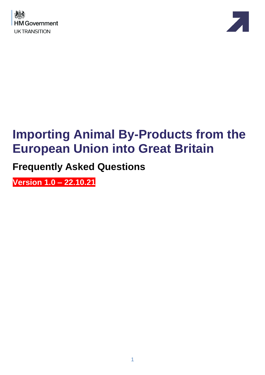



# **Importing Animal By-Products from the European Union into Great Britain**

**Frequently Asked Questions**

**Version 1.0 – 22.10.21**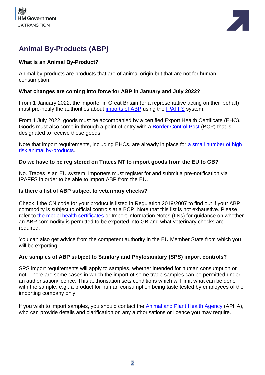



# **Animal By-Products (ABP)**

#### **What is an Animal By-Product?**

Animal by-products are products that are of animal origin but that are not for human consumption.

#### **What changes are coming into force for ABP in January and July 2022?**

From 1 January 2022, the importer in Great Britain (or a representative acting on their behalf) must pre-notify the authorities about [imports of ABP](https://www.gov.uk/guidance/importing-or-moving-live-animals-animal-products-and-high-risk-food-and-feed-not-of-animal-origin#animal-by-products) using the [IPAFFS](https://www.gov.uk/guidance/import-of-products-animals-food-and-feed-system) system.

From 1 July 2022, goods must be accompanied by a certified Export Health Certificate (EHC). Goods must also come in through a point of entry with a [Border Control Post](https://www.gov.uk/government/publications/uk-border-control-posts-animal-and-animal-product-imports) (BCP) that is designated to receive those goods.

Note that import requirements, including EHCs, are already in place for [a small number of high](https://www.gov.uk/guidance/importing-or-moving-live-animals-animal-products-and-high-risk-food-and-feed-not-of-animal-origin)  [risk animal by-products.](https://www.gov.uk/guidance/importing-or-moving-live-animals-animal-products-and-high-risk-food-and-feed-not-of-animal-origin)

#### **Do we have to be registered on Traces NT to import goods from the EU to GB?**

No. Traces is an EU system. Importers must register for and submit a pre-notification via IPAFFS in order to be able to import ABP from the EU.

#### **Is there a list of ABP subject to veterinary checks?**

Check if the CN code for your product is listed in Regulation 2019/2007 to find out if your ABP commodity is subject to official controls at a BCP. Note that this list is not exhaustive. Please refer to [the model health certificates](https://www.gov.uk/government/collections/health-certificates-for-animal-and-animal-product-imports-to-great-britain) or Import Information Notes (IINs) for guidance on whether an ABP commodity is permitted to be exported into GB and what veterinary checks are required.

You can also get advice from the competent authority in the EU Member State from which you will be exporting.

#### **Are samples of ABP subject to Sanitary and Phytosanitary (SPS) import controls?**

SPS import requirements will apply to samples, whether intended for human consumption or not. There are some cases in which the import of some trade samples can be permitted under an authorisation/licence. This authorisation sets conditions which will limit what can be done with the sample, e.g., a product for human consumption being taste tested by employees of the importing company only.

If you wish to import samples, you should contact the [Animal and Plant Health Agency](https://www.gov.uk/guidance/get-an-export-health-certificate#if-you-need-help) (APHA), who can provide details and clarification on any authorisations or licence you may require.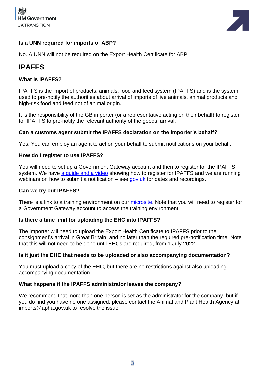



#### **Is a UNN required for imports of ABP?**

No. A UNN will not be required on the Export Health Certificate for ABP.

## **IPAFFS**

#### **What is IPAFFS?**

IPAFFS is the import of products, animals, food and feed system (IPAFFS) and is the system used to pre-notify the authorities about arrival of imports of live animals, animal products and high-risk food and feed not of animal origin.

It is the responsibility of the GB importer (or a representative acting on their behalf) to register for IPAFFS to pre-notify the relevant authority of the goods' arrival.

#### **Can a customs agent submit the IPAFFS declaration on the importer's behalf?**

Yes. You can employ an agent to act on your behalf to submit notifications on your behalf.

#### **How do I register to use IPAFFS?**

You will need to set up a Government Gateway account and then to register for the IPAFFS system. We have a quide and a video showing how to register for IPAFFS and we are running webinars on how to submit a notification – see [gov.uk](https://www.gov.uk/guidance/webinars-for-importers-of-food-and-drink-products-from-the-eu-to-great-britain) for dates and recordings.

#### **Can we try out IPAFFS?**

There is a link to a training environment on our [microsite.](https://www.dropbox.com/scl/fi/nkg4nltxghurtqp9oncp3/Moving-Goods-from-the-European-Union-into-Great-Britain.-New-Requirements-from-October-2021.paper?dl=0&rlkey=xe77te92f6adbnez96b4h26s8) Note that you will need to register for a Government Gateway account to access the training environment.

#### **Is there a time limit for uploading the EHC into IPAFFS?**

The importer will need to upload the Export Health Certificate to IPAFFS prior to the consignment's arrival in Great Britain, and no later than the required pre-notification time. Note that this will not need to be done until EHCs are required, from 1 July 2022.

#### **Is it just the EHC that needs to be uploaded or also accompanying documentation?**

You must upload a copy of the EHC, but there are no restrictions against also uploading accompanying documentation.

#### **What happens if the IPAFFS administrator leaves the company?**

We recommend that more than one person is set as the administrator for the company, but if you do find you have no one assigned, please contact the Animal and Plant Health Agency at imports@apha.gov.uk to resolve the issue.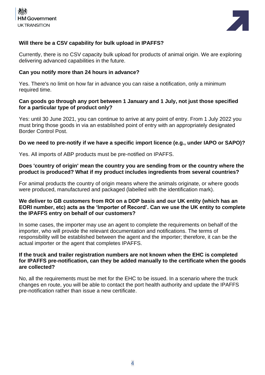



#### **Will there be a CSV capability for bulk upload in IPAFFS?**

Currently, there is no CSV capacity bulk upload for products of animal origin. We are exploring delivering advanced capabilities in the future.

#### **Can you notify more than 24 hours in advance?**

Yes. There's no limit on how far in advance you can raise a notification, only a minimum required time.

#### **Can goods go through any port between 1 January and 1 July, not just those specified for a particular type of product only?**

Yes: until 30 June 2021, you can continue to arrive at any point of entry. From 1 July 2022 you must bring those goods in via an established point of entry with an appropriately designated Border Control Post.

#### **Do we need to pre-notify if we have a specific import licence (e.g., under IAPO or SAPO)?**

Yes. All imports of ABP products must be pre-notified on IPAFFS.

#### **Does 'country of origin' mean the country you are sending from or the country where the product is produced? What if my product includes ingredients from several countries?**

For animal products the country of origin means where the animals originate, or where goods were produced, manufactured and packaged (labelled with the identification mark).

#### **We deliver to GB customers from ROI on a DDP basis and our UK entity (which has an EORI number, etc) acts as the 'Importer of Record'. Can we use the UK entity to complete the IPAFFS entry on behalf of our customers?**

In some cases, the importer may use an agent to complete the requirements on behalf of the importer, who will provide the relevant documentation and notifications. The terms of responsibility will be established between the agent and the importer; therefore, it can be the actual importer or the agent that completes IPAFFS.

#### **If the truck and trailer registration numbers are not known when the EHC is completed for IPAFFS pre-notification, can they be added manually to the certificate when the goods are collected?**

No, all the requirements must be met for the EHC to be issued. In a scenario where the truck changes en route, you will be able to contact the port health authority and update the IPAFFS pre-notification rather than issue a new certificate.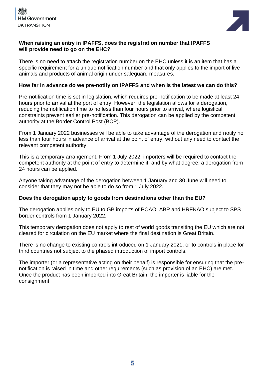



#### **When raising an entry in IPAFFS, does the registration number that IPAFFS will provide need to go on the EHC?**

There is no need to attach the registration number on the EHC unless it is an item that has a specific requirement for a unique notification number and that only applies to the import of live animals and products of animal origin under safeguard measures.

#### **How far in advance do we pre-notify on IPAFFS and when is the latest we can do this?**

Pre-notification time is set in legislation, which requires pre-notification to be made at least 24 hours prior to arrival at the port of entry. However, the legislation allows for a derogation, reducing the notification time to no less than four hours prior to arrival, where logistical constraints prevent earlier pre-notification. This derogation can be applied by the competent authority at the Border Control Post (BCP).

From 1 January 2022 businesses will be able to take advantage of the derogation and notify no less than four hours in advance of arrival at the point of entry, without any need to contact the relevant competent authority.

This is a temporary arrangement. From 1 July 2022, importers will be required to contact the competent authority at the point of entry to determine if, and by what degree, a derogation from 24 hours can be applied.

Anyone taking advantage of the derogation between 1 January and 30 June will need to consider that they may not be able to do so from 1 July 2022.

#### **Does the derogation apply to goods from destinations other than the EU?**

The derogation applies only to EU to GB imports of POAO, ABP and HRFNAO subject to SPS border controls from 1 January 2022.

This temporary derogation does not apply to rest of world goods transiting the EU which are not cleared for circulation on the EU market where the final destination is Great Britain.

There is no change to existing controls introduced on 1 January 2021, or to controls in place for third countries not subject to the phased introduction of import controls.

The importer (or a representative acting on their behalf) is responsible for ensuring that the prenotification is raised in time and other requirements (such as provision of an EHC) are met. Once the product has been imported into Great Britain, the importer is liable for the consignment.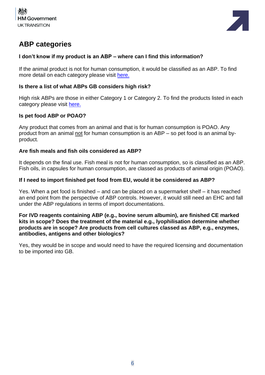



## **ABP categories**

#### **I don't know if my product is an ABP – where can I find this information?**

If the animal product is not for human consumption, it would be classified as an ABP. To find more detail on each category please visit [here.](https://www.gov.uk/guidance/animal-by-product-categories-site-approval-hygiene-and-disposal#abp-categories-explained)

#### **Is there a list of what ABPs GB considers high risk?**

High risk ABPs are those in either Category 1 or Category 2. To find the products listed in each category please visit [here.](https://www.gov.uk/guidance/animal-by-product-categories-site-approval-hygiene-and-disposal#abp-categories-explained)

#### **Is pet food ABP or POAO?**

Any product that comes from an animal and that is for human consumption is POAO. Any product from an animal not for human consumption is an ABP – so pet food is an animal byproduct.

#### **Are fish meals and fish oils considered as ABP?**

It depends on the final use. Fish meal is not for human consumption, so is classified as an ABP. Fish oils, in capsules for human consumption, are classed as products of animal origin (POAO).

#### **If I need to import finished pet food from EU, would it be considered as ABP?**

Yes. When a pet food is finished – and can be placed on a supermarket shelf – it has reached an end point from the perspective of ABP controls. However, it would still need an EHC and fall under the ABP regulations in terms of import documentations.

#### **For IVD reagents containing ABP (e.g., bovine serum albumin), are finished CE marked kits in scope? Does the treatment of the material e.g., lyophilisation determine whether products are in scope? Are products from cell cultures classed as ABP, e.g., enzymes, antibodies, antigens and other biologics?**

Yes, they would be in scope and would need to have the required licensing and documentation to be imported into GB.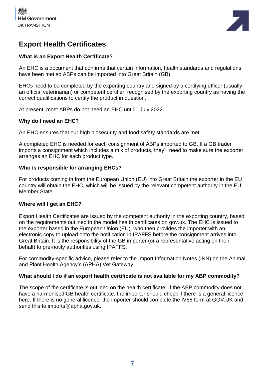



## **Export Health Certificates**

#### **What is an Export Health Certificate?**

An EHC is a document that confirms that certain information, health standards and regulations have been met so ABPs can be imported into Great Britain (GB).

EHCs need to be completed by the exporting country and signed by a certifying officer (usually an official veterinarian) or competent certifier, recognised by the exporting country as having the correct qualifications to certify the product in question.

At present, most ABPs do not need an EHC until 1 July 2022.

#### **Why do I need an EHC?**

An EHC ensures that our high biosecurity and food safety standards are met.

A completed EHC is needed for each consignment of ABPs imported to GB. If a GB trader imports a consignment which includes a mix of products, they'll need to make sure the exporter arranges an EHC for each product type.

#### **Who is responsible for arranging EHCs?**

For products coming in from the European Union (EU) into Great Britain the exporter in the EU country will obtain the EHC, which will be issued by the relevant competent authority in the EU Member State.

#### **Where will I get an EHC?**

Export Health Certificates are issued by the competent authority in the exporting country, based on the requirements outlined in the model health certificates on gov.uk. The EHC is issued to the exporter based in the European Union (EU), who then provides the importer with an electronic copy to upload onto the notification in IPAFFS before the consignment arrives into Great Britain. It is the responsibility of the GB importer (or a representative acting on their behalf) to pre-notify authorities using IPAFFS.

For commodity-specific advice, please refer to the Import Information Notes (INN) on the Animal and Plant Health Agency's (APHA) Vet Gateway.

#### **What should I do if an export health certificate is not available for my ABP commodity?**

The scope of the certificate is outlined on the health certificate. If the ABP commodity does not have a harmonised GB health certificate, the importer should check if there is a general licence here. If there is no general licence, the importer should complete the IV58 form at GOV.UK and send this to imports@apha.gov.uk.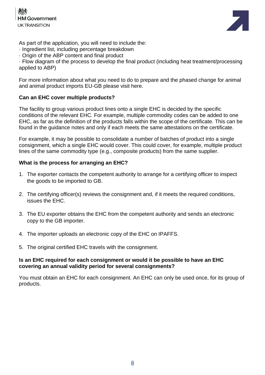



As part of the application, you will need to include the:

- · Ingredient list, including percentage breakdown
- · Origin of the ABP content and final product

· Flow diagram of the process to develop the final product (including heat treatment/processing applied to ABP)

For more information about what you need to do to prepare and the phased change for animal and animal product imports EU-GB please visit here.

#### **Can an EHC cover multiple products?**

The facility to group various product lines onto a single EHC is decided by the specific conditions of the relevant EHC. For example, multiple commodity codes can be added to one EHC, as far as the definition of the products falls within the scope of the certificate. This can be found in the guidance notes and only if each meets the same attestations on the certificate.

For example, it may be possible to consolidate a number of batches of product into a single consignment, which a single EHC would cover. This could cover, for example, multiple product lines of the same commodity type (e.g., composite products) from the same supplier.

#### **What is the process for arranging an EHC?**

- 1. The exporter contacts the competent authority to arrange for a certifying officer to inspect the goods to be imported to GB.
- 2. The certifying officer(s) reviews the consignment and, if it meets the required conditions, issues the EHC.
- 3. The EU exporter obtains the EHC from the competent authority and sends an electronic copy to the GB importer.
- 4. The importer uploads an electronic copy of the EHC on IPAFFS.
- 5. The original certified EHC travels with the consignment.

#### **Is an EHC required for each consignment or would it be possible to have an EHC covering an annual validity period for several consignments?**

You must obtain an EHC for each consignment. An EHC can only be used once, for its group of products.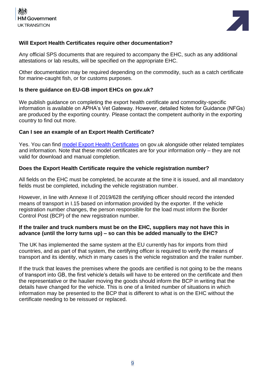



#### **Will Export Health Certificates require other documentation?**

Any official SPS documents that are required to accompany the EHC, such as any additional attestations or lab results, will be specified on the appropriate EHC.

Other documentation may be required depending on the commodity, such as a catch certificate for marine-caught fish, or for customs purposes.

#### **Is there guidance on EU-GB import EHCs on gov.uk?**

We publish guidance on completing the export health certificate and commodity-specific information is available on APHA's Vet Gateway. However, detailed Notes for Guidance (NFGs) are produced by the exporting country. Please contact the competent authority in the exporting country to find out more.

#### **Can I see an example of an Export Health Certificate?**

Yes. You can find [model Export Health Certificates](https://www.gov.uk/government/collections/health-certificates-for-animal-and-animal-product-imports-to-great-britain#animal-by-products) on gov.uk alongside other related templates and information. Note that these model certificates are for your information only – they are not valid for download and manual completion.

#### **Does the Export Health Certificate require the vehicle registration number?**

All fields on the EHC must be completed, be accurate at the time it is issued, and all mandatory fields must be completed, including the vehicle registration number.

However, in line with Annexe II of 2019/628 the certifying officer should record the intended means of transport in I.15 based on information provided by the exporter. If the vehicle registration number changes, the person responsible for the load must inform the Border Control Post (BCP) of the new registration number.

#### **If the trailer and truck numbers must be on the EHC, suppliers may not have this in advance (until the lorry turns up) – so can this be added manually to the EHC?**

The UK has implemented the same system at the EU currently has for imports from third countries, and as part of that system, the certifying officer is required to verify the means of transport and its identity, which in many cases is the vehicle registration and the trailer number.

If the truck that leaves the premises where the goods are certified is not going to be the means of transport into GB, the first vehicle's details will have to be entered on the certificate and then the representative or the haulier moving the goods should inform the BCP in writing that the details have changed for the vehicle. This is one of a limited number of situations in which information may be presented to the BCP that is different to what is on the EHC without the certificate needing to be reissued or replaced.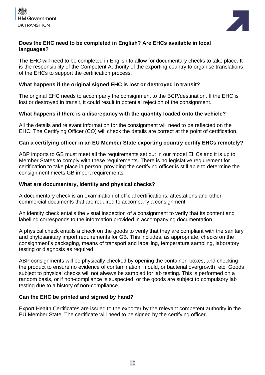



#### **Does the EHC need to be completed in English? Are EHCs available in local languages?**

The EHC will need to be completed in English to allow for documentary checks to take place. It is the responsibility of the Competent Authority of the exporting country to organise translations of the EHCs to support the certification process.

#### **What happens if the original signed EHC is lost or destroyed in transit?**

The original EHC needs to accompany the consignment to the BCP/destination. If the EHC is lost or destroyed in transit, it could result in potential rejection of the consignment.

#### **What happens if there is a discrepancy with the quantity loaded onto the vehicle?**

All the details and relevant information for the consignment will need to be reflected on the EHC. The Certifying Officer (CO) will check the details are correct at the point of certification.

#### **Can a certifying officer in an EU Member State exporting country certify EHCs remotely?**

ABP imports to GB must meet all the requirements set out in our model EHCs and it is up to Member States to comply with these requirements. There is no legislative requirement for certification to take place in person, providing the certifying officer is still able to determine the consignment meets GB import requirements.

#### **What are documentary, identity and physical checks?**

A documentary check is an examination of official certifications, attestations and other commercial documents that are required to accompany a consignment.

An identity check entails the visual inspection of a consignment to verify that its content and labelling corresponds to the information provided in accompanying documentation.

A physical check entails a check on the goods to verify that they are compliant with the sanitary and phytosanitary import requirements for GB. This includes, as appropriate, checks on the consignment's packaging, means of transport and labelling, temperature sampling, laboratory testing or diagnosis as required.

ABP consignments will be physically checked by opening the container, boxes, and checking the product to ensure no evidence of contamination, mould, or bacterial overgrowth, etc. Goods subject to physical checks will not always be sampled for lab testing. This is performed on a random basis, or if non-compliance is suspected, or the goods are subject to compulsory lab testing due to a history of non-compliance.

#### **Can the EHC be printed and signed by hand?**

Export Health Certificates are issued to the exporter by the relevant competent authority in the EU Member State. The certificate will need to be signed by the certifying officer.